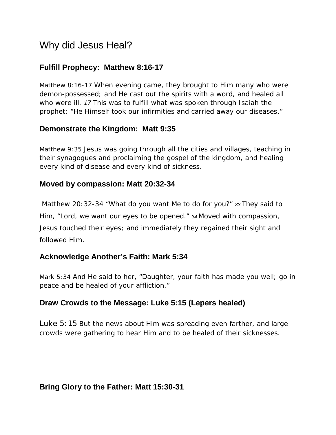# Why did Jesus Heal?

## **Fulfill Prophecy: Matthew 8:16-17**

*Matthew 8:16-17 When evening came, they brought to Him many who were demon-possessed; and He cast out the spirits with a word, and healed all who were ill. 17 This was to fulfill what was spoken through Isaiah the prophet: "He Himself took our infirmities and carried away our diseases."*

#### **Demonstrate the Kingdom: Matt 9:35**

*Matthew 9:35 Jesus was going through all the cities and villages, teaching in their synagogues and proclaiming the gospel of the kingdom, and healing every kind of disease and every kind of sickness.*

#### **Moved by compassion: Matt 20:32-34**

*Matthew 20:32-34 "What do you want Me to do for you?" 33 They said to Him, "Lord, we want our eyes to be opened." 34 Moved with compassion, Jesus touched their eyes; and immediately they regained their sight and followed Him.*

## **Acknowledge Another's Faith: Mark 5:34**

*Mark 5:34 And He said to her, "Daughter, your faith has made you well; go in peace and be healed of your affliction."*

## **Draw Crowds to the Message: Luke 5:15 (Lepers healed)**

*Luke 5:15 But the news about Him was spreading even farther, and large crowds were gathering to hear Him and to be healed of their sicknesses.*

## **Bring Glory to the Father: Matt 15:30-31**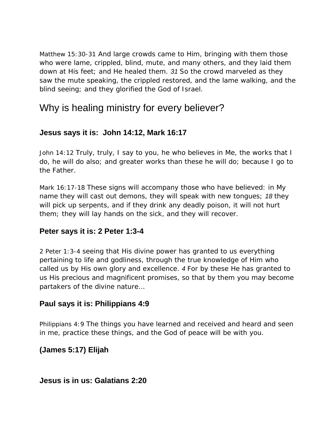*Matthew 15:30-31 And large crowds came to Him, bringing with them those who were lame, crippled, blind, mute, and many others, and they laid them down at His feet; and He healed them. 31 So the crowd marveled as they saw the mute speaking, the crippled restored, and the lame walking, and the blind seeing; and they glorified the God of Israel.*

## Why is healing ministry for every believer?

## **Jesus says it is: John 14:12, Mark 16:17**

*John 14:12 Truly, truly, I say to you, he who believes in Me, the works that I do, he will do also; and greater works than these he will do; because I go to the Father.*

*Mark 16:17-18 These signs will accompany those who have believed: in My name they will cast out demons, they will speak with new tongues; 18 they*  will pick up serpents, and if they drink any deadly poison, it will not hurt *them; they will lay hands on the sick, and they will recover.*

## **Peter says it is: 2 Peter 1:3-4**

*2 Peter 1:3-4 seeing that His divine power has granted to us everything pertaining to life and godliness, through the true knowledge of Him who called us by His own glory and excellence. 4 For by these He has granted to us His precious and magnificent promises, so that by them you may become partakers of the divine nature…*

## **Paul says it is: Philippians 4:9**

*Philippians 4:9 The things you have learned and received and heard and seen in me, practice these things, and the God of peace will be with you.*

**(James 5:17) Elijah**

**Jesus is in us: Galatians 2:20**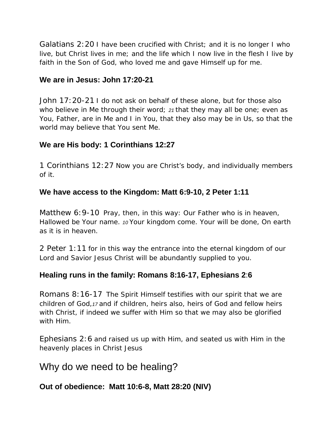*Galatians 2:20 I have been crucified with Christ; and it is no longer I who live, but Christ lives in me; and the life which I now live in the flesh I live by faith in the Son of God, who loved me and gave Himself up for me.*

#### **We are in Jesus: John 17:20-21**

*John 17:20-21 I do not ask on behalf of these alone, but for those also who believe in Me through their word; 21 that they may all be one; even as You, Father, are in Me and I in You, that they also may be in Us, so that the world may believe that You sent Me.*

#### **We are His body: 1 Corinthians 12:27**

*1 Corinthians 12:27 Now you are Christ's body, and individually members of it.*

#### **We have access to the Kingdom: Matt 6:9-10, 2 Peter 1:11**

*Matthew 6:9-10 Pray, then, in this way: Our Father who is in heaven, Hallowed be Your name. 10 Your kingdom come. Your will be done, On earth as it is in heaven.*

*2 Peter 1:11 for in this way the entrance into the eternal kingdom of our Lord and Savior Jesus Christ will be abundantly supplied to you.*

#### **Healing runs in the family: Romans 8:16-17, Ephesians 2**:**6**

*Romans 8:16-17 The Spirit Himself testifies with our spirit that we are children of God,17 and if children, heirs also, heirs of God and fellow heirs with Christ, if indeed we suffer with Him so that we may also be glorified with Him.*

*Ephesians 2:6 and raised us up with Him, and seated us with Him in the heavenly places in Christ Jesus*

## Why do we need to be healing?

#### **Out of obedience: Matt 10:6-8, Matt 28:20 (NIV)**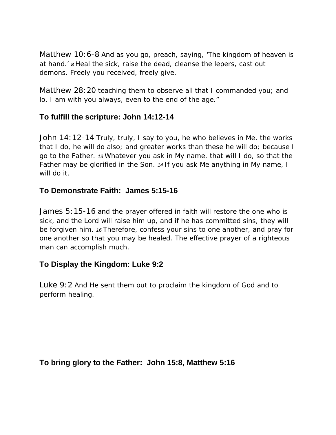Matthew 10:6-8 *And as you go, preach, saying, 'The kingdom of heaven is at hand.' 8 Heal the sick, raise the dead, cleanse the lepers, cast out demons. Freely you received, freely give.*

*Matthew 28:20 teaching them to observe all that I commanded you; and lo, I am with you always, even to the end of the age."*

## **To fulfill the scripture: John 14:12-14**

*John 14:12-14 Truly, truly, I say to you, he who believes in Me, the works that I do, he will do also; and greater works than these he will do; because I go to the Father. 13 Whatever you ask in My name, that will I do, so that the Father may be glorified in the Son. 14 If you ask Me anything in My name, I will do it.*

#### **To Demonstrate Faith: James 5:15-16**

*James 5:15-16 and the prayer offered in faith will restore the one who is sick, and the Lord will raise him up, and if he has committed sins, they will be forgiven him. 16 Therefore, confess your sins to one another, and pray for one another so that you may be healed. The effective prayer of a righteous man can accomplish much.*

#### **To Display the Kingdom: Luke 9:2**

*Luke 9:2 And He sent them out to proclaim the kingdom of God and to perform healing.*

#### **To bring glory to the Father: John 15:8, Matthew 5:16**